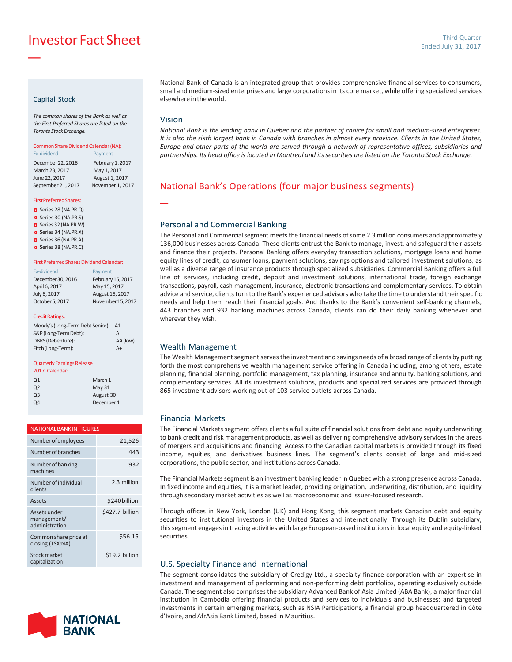Investor FactSheet

#### Capital Stock

—

*The common shares of the Bank as well as the First Preferred Shares are listed on the TorontoStockExchange.*

#### Common Share Dividend Calendar (NA): Ex-dividend Payment

December 22, 2016 February 1, 2017 March23, 2017 May 1, 2017 June 22, 2017 August 1, 2017 September 21, 2017 November 1, 2017

#### FirstPreferredShares:

Series 28 (NA.PR.Q)

Series 30 (NA.PR.S)

- Series 32 (NA.PR.W)
- Series 34 (NA.PR.X) Series 36 (NA.PR.A)
- Series 38 (NA.PR.C)

#### First Preferred Shares Dividend Calendar:

| Ex-dividend       | Payment           |
|-------------------|-------------------|
| December 30, 2016 | February 15, 2017 |
| April 6, 2017     | May 15, 2017      |
| July 6, 2017      | August 15, 2017   |
| October 5, 2017   | November 15, 2017 |

#### CreditRatings:

| Moody's (Long-Term Debt Senior): | A1       |
|----------------------------------|----------|
| S&P (Long-Term Debt):            | А        |
| DBRS (Debenture):                | AA (low) |
| Fitch (Long-Term):               | $A+$     |

#### Quarterly Earnings Release

| 2017 Calendar: |            |
|----------------|------------|
| Q <sub>1</sub> | March 1    |
| Q <sub>2</sub> | May 31     |
| Q <sub>3</sub> | August 30  |
| 04             | December 1 |
|                |            |

| <b>NATIONAL BANK IN FIGURES</b>               |                 |  |  |
|-----------------------------------------------|-----------------|--|--|
| Number of employees                           | 21,526          |  |  |
| Number of branches                            | 443             |  |  |
| Number of banking<br>machines                 | 932             |  |  |
| Number of individual<br>clients               | 2.3 million     |  |  |
| Assets                                        | \$240billion    |  |  |
| Assets under<br>management/<br>administration | \$427.7 billion |  |  |
| Common share price at<br>closing (TSX:NA)     | \$56.15         |  |  |
| <b>Stock market</b><br>capitalization         | \$19.2 billion  |  |  |



National Bank of Canada is an integrated group that provides comprehensive financial services to consumers, small and medium-sized enterprises and large corporations in its core market, while offering specialized services elsewhereintheworld.

### Vision

—

National Bank is the leading bank in Quebec and the partner of choice for small and medium-sized enterprises. It is also the sixth largest bank in Canada with branches in almost every province. Clients in the United States, Europe and other parts of the world are served through a network of representative offices, subsidiaries and partnerships. Its head office is located in Montreal and its securities are listed on the Toronto Stock Exchange.

### National Bank's Operations (four major business segments)

### Personal and Commercial Banking

The Personal and Commercial segment meets the financial needs of some 2.3 million consumers and approximately 136,000 businesses across Canada. These clients entrust the Bank to manage, invest, and safeguard their assets and finance their projects. Personal Banking offers everyday transaction solutions, mortgage loans and home equity lines of credit, consumer loans, payment solutions, savings options and tailored investment solutions, as well as a diverse range of insurance products through specialized subsidiaries. Commercial Banking offers a full line of services, including credit, deposit and investment solutions, international trade, foreign exchange transactions, payroll, cash management, insurance, electronic transactions and complementary services. To obtain advice and service, clients turn to the Bank's experienced advisors who take the time to understand their specific needs and help them reach their financial goals. And thanks to the Bank's convenient self-banking channels, 443 branches and 932 banking machines across Canada, clients can do their daily banking whenever and wherever they wish.

#### Wealth Management

The Wealth Management segment serves the investment and savings needs of a broad range of clients by putting forth the most comprehensive wealth management service offering in Canada including, among others, estate planning, financial planning, portfolio management, tax planning, insurance and annuity, banking solutions, and complementary services. All its investment solutions, products and specialized services are provided through 865 investment advisors working out of 103 service outlets across Canada.

### FinancialMarkets

The Financial Markets segment offers clients a full suite of financial solutions from debt and equity underwriting to bank credit and risk management products, as well as delivering comprehensive advisory services in the areas of mergers and acquisitions and financing. Access to the Canadian capital markets is provided through its fixed income, equities, and derivatives business lines. The segment's clients consist of large and mid-sized corporations, the public sector, and institutions across Canada.

The Financial Marketssegment is an investment banking leader in Quebec with a strong presence across Canada. In fixed income and equities, it is a market leader, providing origination, underwriting, distribution, and liquidity through secondary market activities as well as macroeconomic and issuer-focused research.

Through offices in New York, London (UK) and Hong Kong, this segment markets Canadian debt and equity securities to institutional investors in the United States and internationally. Through its Dublin subsidiary, this segment engages in trading activities with large European-based institutions in local equity and equity-linked securities.

#### U.S. Specialty Finance and International

The segment consolidates the subsidiary of Credigy Ltd., a specialty finance corporation with an expertise in investment and management of performing and non-performing debt portfolios, operating exclusively outside Canada. The segment also comprises the subsidiary Advanced Bank of Asia Limited (ABA Bank), a major financial institution in Cambodia offering financial products and services to individuals and businesses; and targeted investments in certain emerging markets, such as NSIA Participations, a financial group headquartered in Côte d'Ivoire, and AfrAsia Bank Limited, based in Mauritius.